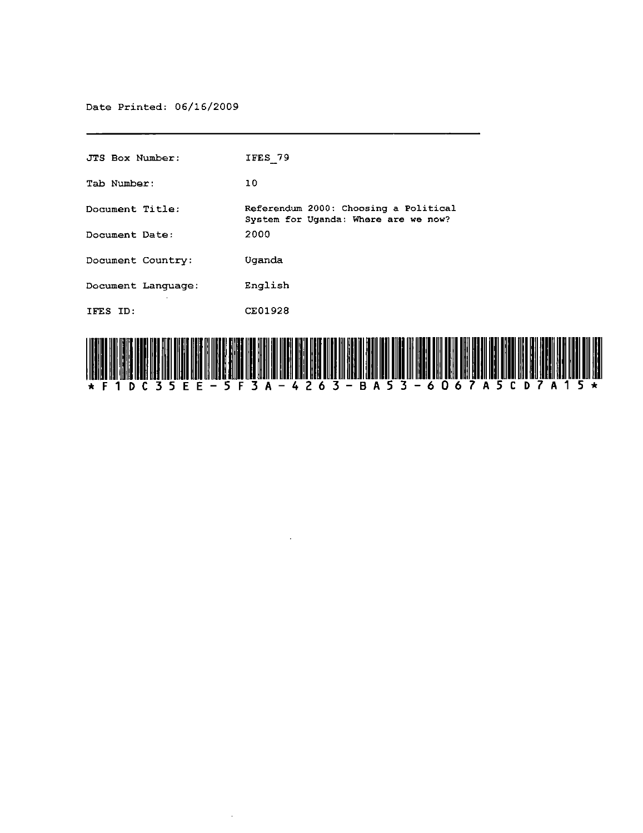Date Printed: 06/16/2009

| HII H                  |                                                                               |
|------------------------|-------------------------------------------------------------------------------|
| IFES ID:               | CE01928                                                                       |
| Document Language:     | English                                                                       |
| Document Country:      | Uganda                                                                        |
| Document Date:         | 2000                                                                          |
| <b>Document Title:</b> | Referendum 2000: Choosing a Political<br>System for Uganda: Where are we now? |
| Tab Number:            | 10                                                                            |
| JTS Box Number:        | IFES 79                                                                       |



 $\mathcal{A}$ 

 $\mathcal{L}$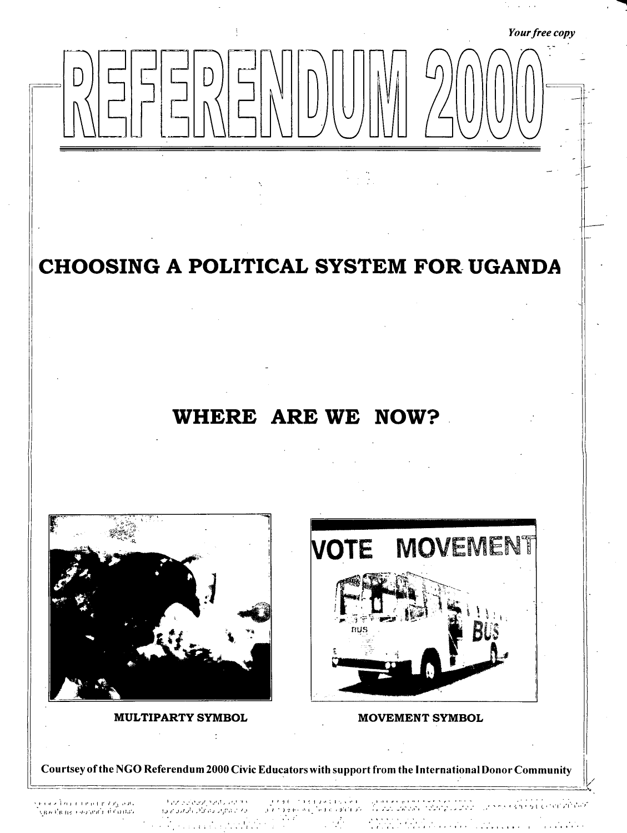# Your free copy

CHOOSING A POLITICAL SYSTEM FOR UGANDA

# WHERE ARE WE NOW?



**MULTIPARTY SYMBOL** 



**MOVEMENT SYMBOL** 

Courtsey of the NGO Referendum 2000 Civic Educators with support from the International Donor Community

કાર નામ્યાં શાકાર તાલુકાના તાલુકાના મ ไปลพปลาย กลับกลับกลับกลับ

الجاج الإطرار الرافيان والرامي والمراواة الأفراد فكالمواجد والمكافح بالواقيون مجاولا  $\label{eq:2} \mathcal{L}(\mathcal{L}^{\mathcal{A}}_{\mathcal{A}}(\mathcal{A}^{\mathcal{A}}_{\mathcal{A}}),\mathcal{L}^{\mathcal{A}}_{\mathcal{A}}(\mathcal{A}^{\mathcal{A}}_{\mathcal{A}}),\mathcal{L}^{\mathcal{A}}_{\mathcal{A}}(\mathcal{A}^{\mathcal{A}}_{\mathcal{A}}))$ 

 $\ddot{\cdot}$ 

 $\mathcal{L}^{\text{c}}(\mathcal{L}^{\text{c}}(\mathcal{L}))$  $\label{eq:2} \frac{1}{\sqrt{2}}\frac{1}{\sqrt{2}}\sum_{i=1}^{N} \frac{1}{\sqrt{2}}\sum_{i=1}^{N} \frac{1}{\sqrt{2}}\sum_{i=1}^{N} \frac{1}{\sqrt{2}}\sum_{i=1}^{N} \frac{1}{\sqrt{2}}\sum_{i=1}^{N} \frac{1}{\sqrt{2}}\sum_{i=1}^{N} \frac{1}{\sqrt{2}}\sum_{i=1}^{N} \frac{1}{\sqrt{2}}\sum_{i=1}^{N} \frac{1}{\sqrt{2}}\sum_{i=1}^{N} \frac{1}{\sqrt{2}}\sum_{i=1}^{N} \frac{$  $\mathcal{L}^{\text{max}}$ 

 $\mathbf{A}$ 

્યું જ કોઈ કોઈ કરી છે ના દાર છે તે માર્યા દ્વારા ના ના ના ના ના ના પાક પર તે માટે પર પાક કરી.<br>હાથ કોઈ કોઈ એ દુર્ગાત તરીકે તે તો તો પાક પહેલા પોસ્ટ બીજા પાક કરી હતી. તો તો તો તો તો તો તો તો તો તો તો તો તો  $\frac{1}{2}\sum_{i=1}^{2}\sum_{j=1}^{2}\sum_{k=1}^{2}\sum_{j=1}^{2}\sum_{j=1}^{2}\sum_{k=1}^{2}\sum_{j=1}^{2}\sum_{k=1}^{2}\sum_{k=1}^{2}\sum_{k=1}^{2}\sum_{k=1}^{2}\sum_{k=1}^{2}\sum_{k=1}^{2}\sum_{k=1}^{2}\sum_{k=1}^{2}\sum_{k=1}^{2}\sum_{k=1}^{2}\sum_{k=1}^{2}\sum_{k=1}^{2}\sum_{k=1}^{2}\sum_{k=1}^{2}\sum_{k=1}^{2}\sum_{k=1}^{2}\sum_{k=1}$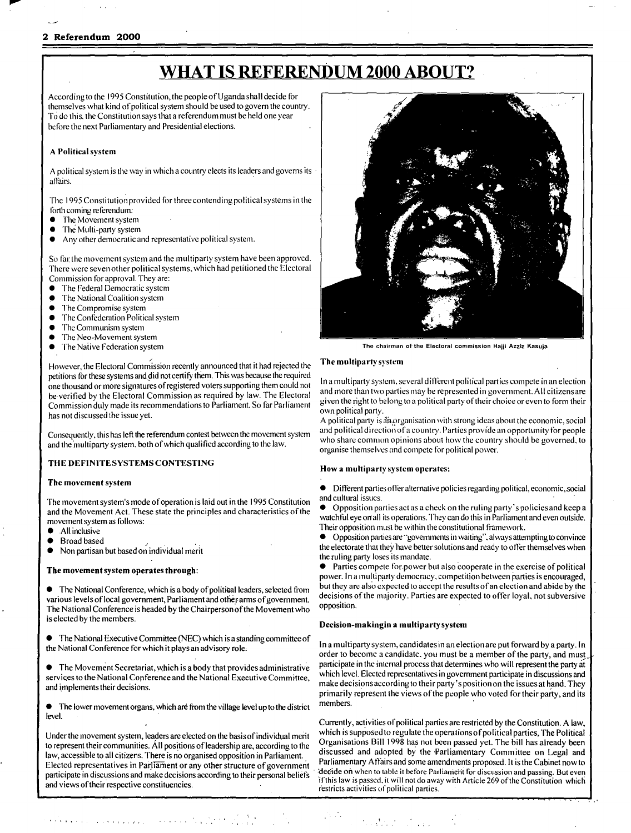# WHAT IS REFERENDUM 2000 ABOUT?

According to the 1995 Constitution, the people of Uganda shall decide for themselves what kind of political system should be used to govern the country. To do this, the Constitution says that a referendum must be held one year before the next Parliamentary and Presidential elections.

# A Political system

A political system is the way in which a country elects its leaders and governs its affairs.

The 1995 Constitution provided for three contending political systems in the torth coming referendum:

- The Movement system
- The Multi-party system
- Any other democratic and representative political system.

So far the movement system and the multiparty system have been approved. There wcre seven other political systems, which had petitioned the Electoral Commission for approval. They are:

- The Federal Democratic system
- The National Coalition system
- The Compromise system
- The Confederation Political system
- The Communism system
- The Neo-Movement system
- The Native Federation system

/ However, the Electoral Commission recently announced that it had rejected the petitions for these systems and did not certify them. This was because the required one thousand or more signatures of registered voters supporting them could not be verified by the Electoral Commission as required by law. The Electoral Commission duly made its recommendations to Parliament. So far Parliament has not discussed the issue yet.

Consequently, this has left the referendum contest between the movement system and the inultiparty system, both of which qualified according to the law.

# THE DEFINITE SYSTEMS CONTESTING

# The movement system

The movement system's mode of operation is laid out in the 1995 Constitution and the Movement Act. These state the principles and characteristics of the movement system as follows:

- All inclusive
- 
- . All inclusive<br>● Broad based<br>● Non partisan but based on individual merit

# The movement system operates through:

The National Conference, which is a body of political leaders, selected from various levels of local government, Parliament and other arms of government. The National Conference is headed by the Chairperson of the Movement who is elected by the members.

• The National Executive Committee (NEC) which is a standing committee of the National Conference for which it plays an advisory role,

• The Movement Secretariat, which is a body that provides administrative services to the National Conference and the National Executive Committee and implements their decisions.

• The lower movement organs, which are from the village level up to the district

participate in discussions and make decisions according to their personal beliefs

e de la companya de la companya de la companya de la companya de la companya de la companya de la companya de<br>La companya de la companya de la companya de la companya de la companya de la companya de la companya de la co



The chairman of"the Electoral commission Hajji Azziz Kasuja

# The multiparty system

In a multiparty system, several different political parties compete in an election and more than two parties may be represented in governmcnt. All citizens are given the right to belong to a political party of their choice or even to form their own political party.

A political party is an organisation with strong ideas about the economic, social and political direction of a country. Parties provide an opportunity for people who share common opinions about how the country should be governed, to organise themselves and compete for political power.

# Howa multiparty system operates:

• Different pat1ies oller alternative policies regarding political, economic,social and cultural issues.

• Opposition parties act as a check on the ruling party's policies and keep a watchful eye on all its operations. They can do this in Parliament and even outside. Their opposition must be within the constitutional framework.

 $\bullet$  Opposition parties are "governments in waiting", always attempting to convince the electorate that they have better solutions and ready to offer themselves when the ruling party loses its mandate.

• Parties compete for power but also cooperate in the exercise of political power. In a mulliparty democracy, competition between parties is encouraged, but they are also expected to accept the results of an election and abide by the decisions of the majority. Parties are expected to offer loyal, not subversive opposition.

# Decision-makingin a multiparty system

In a multiparty system, candidates in an election are put forward by a party. In order to become a candidate, you must be a member of the party, and must participate in the internal process that determines who will represent the party at which level. Elected representatives in government participate in discussions and make decisions according to their party's position on the issues at hand. They primarily represent the views of the people who voted for their party, and its members. .

level.<br>Currently, activities of political parties are restricted by the Constitution. A law,<br>Index the movement system leaders are algoted on the besis of individual main which is supposed to regulate the operations of pol Under the movement system, leaders are elected on the basis of individual merit which is supposed to regulate the operations of political parties, The Political parties, The Political parties. The Political passed yet whic to represent their communities. All positions of leadership are, according to the corganisations Bill 1998 has not been passed yet. The bill has already been legal and in partial discussed and adopted by the Parliamentary law, accessible to all citizens. There is no organised opposition in Parliament. discussed and adopted by the 'Fartiamentary Committee' on Legal and and it is the Cabinet now to reserve the Cabinet now to Elected representatives in Parliament or any other structure of government Parliamentary Atlatrs and some amendments proposed. It is the Cabinet now to reduce the Cabinet now to reduce on the Cabinet not the Cabinet not th participate in discussions and make decisions decording to their personal ocners if this law is passed, it will not do away with Article 269 of the Constitution which and views of their respective constituencies. Lected representatives in Parliament or any other structure of government<br>
Parliamentary Affairs and some amendments proposed. It is the Cabinet now to<br>
participate in discussions and make decisions according to their pers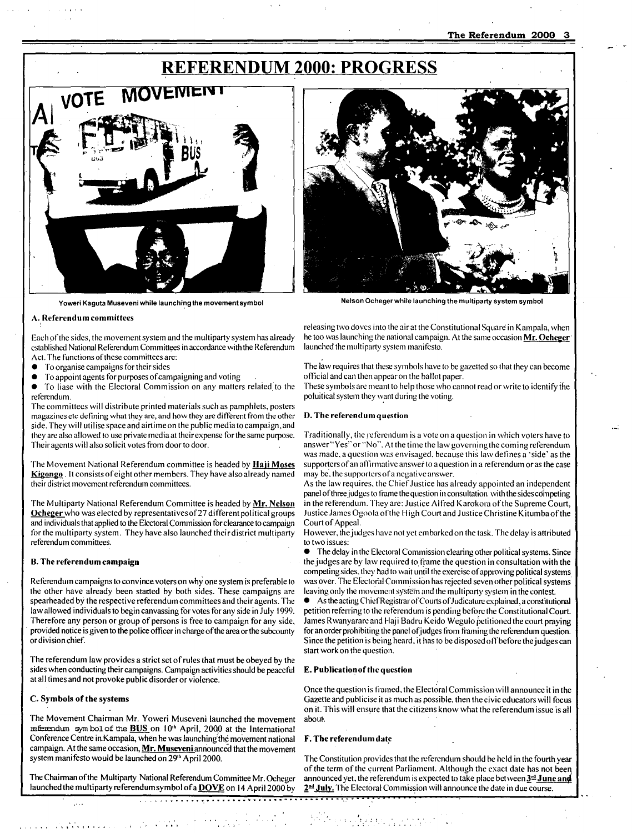# **REFERENDUM 2000: PROGRESS**



Yoweri Kaguta Museveni while launching the movement symbol



Netson Ochegerwhite launching the multiparty system symbot

# A. Referendum committees

Each of the sides, the movement system and the multiparty system has already established National Referendum Committees in accordance with the Referendum Act. The functions of these committees are:

- $\bullet$  To organise campaigns for their sides
- To appoint agents for purposes of campaigning and voting

Fo liase with the Electoral Commission on any matters related to the referendum.

The committees will distribute printed materials such as pamphlets, posters magazines etc defining what they are, and how they are different from the other side. They will utilise space and airtime on the public media to campaign, and they are also allowed to use private media at their expense for the same purpose. Their agents will also solicit votes from door to door.

The Movement National Referendum committee is headed by **Haji Moses** Kigongo. It consists of eight other members. They have also already named their district movement referendum committees.

The Multiparty National Referendum Committee is headed by Mr. Nelson Ocheger who was elected by representatives of 27 different political groups and individuals that applied to the Electoral Commission for clearance to campaign for the multiparty system. They have also launched their district multiparty referendum committees.

## B. The referendum campaign

Referendum campaigns to convince voters on why one system is preferable to the other have already been started by both sides. These campaigns are spearheaded by the respective referendum committees and their agents. The law allowed individuals to begin canvassing for votes for any side in July 1999. Therefore any person or group of persons is free to campaign for any side. provided notice is given to the police officer in charge of the area or the subcounty or division chief.

The referendum law provides a strict set of rules that must be obeyed by the sides when conducting their campaigns. Campaign activities should be peaceful at all times and not provoke public disorder or violence.

#### C. Symbols of the systems

 $\frac{1}{2}$ 

The Movement Chairman Mr. Yoweri Museveni launched the movement referendum symbol of the **BUS** on 10<sup>th</sup> April, 2000 at the International Conference Centre in Kampala, when he was launching the movement national campaign. At the same occasion,  $Mr.$  Museveni announced that the movement system manifesto would be launched on 29th April 2000.

The Chairman of the Multiparty National Referendum Committee Mr. Ocheger launched the multiparty referendum symbol of a  $\overline{DOVE}$  on 14 April 2000 by

, , , " .

............. y .................................................... ', •• ~ .... "

releasing two doves into the air at the Constitutional Square in Kampala, when he too was launching the national campaign. At the same occasion Mr. Ocheger launched the multiparty system manifesto.

The law requires that these symbols have to be gazetted so that they can become official and can then appear on the ballot paper.

These symbols are meant to help those who cannot read or write to identify the poluitical system they want during the voting.

## D. The referendum question

Traditionally, the referendum is a vote on a question in which voters have to answer "Yes" or "No". At the time the law governing the coming referendum was made, a question was envisaged, because this law defines a 'side' as the supporters of an affirmative answer to a question in a referendum or as the case may be, the supporters of a negative answer.

As the law requires, the Chief Justice has already appointed an independent panel of three judges to frame the question in consultation with the sides competing in the referendum. They are: Justice Alfred Karokora of the Supreme Court, Justice James Ogoola of the High Court and Justice Christine Kitumba of the Court of Appeal.

However, the judges have not yet embarked on the task. The delay is attributed to two issues:

 $\bullet$  The delay in the Electoral Commission clearing other political systems. Since the judges are by law required to frame the question in consultation with the competing sides, they had to wait until the exercise of approving political systems was over. The Electoral Commission has rejected seven other political systems leaving only the movement system and the multiparty system in the contest.

As the acting Chief Registrar of Courts of Judicature explained, a constitutional petition referring to the referendum is pending before the Constitutional Court. James R wanyarare and Haji Badru Keido. Wegulo petitioned the court praying. for an order prohibiting the panel of judges from framing the referendum question. Since the petition is being heard, it has to be disposed off before the judges can start work on the question.

#### E. Publication of the question

Once the question is framed, the Electoral Commission will announce it in the Gazette and publicise it as much as possible, then the civic educators will focus on it. This will ensure that the citizens know what the referendum issue is all about.

#### F. The referendum date

Michael Albany and an India

The Constitution provides that the referendum should be held in the fourth year of the term of the current Parliament. Although the exact date has not been announced yet, the referendum is expected to take place between  $\underline{3}^{\underline{rd}}$  June and 2<sup>nd</sup> July. The Electoral Commission will announce the date in due course.